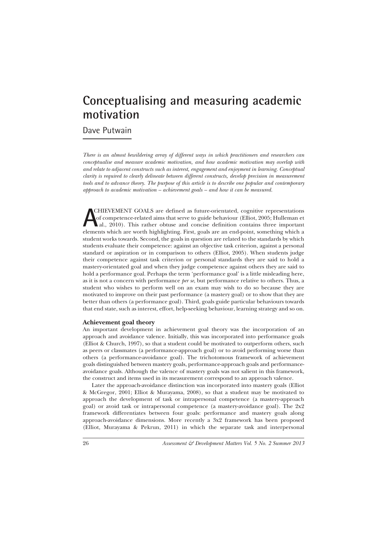## **Conceptualising and measuring academic motivation**

Dave Putwain

*There is an almost bewildering array of different ways in which practitioners and researchers can conceptualise and measure academic motivation, and how academic motivation may overlap with and relate to adjacent constructs such as interest, engagement and enjoyment in learning. Conceptual clarity is required to clearly delineate between different constructs, develop precision in measurement tools and to advance theory. The purpose of this article is to describe one popular and contemporary approach to academic motivation – achievement goals – and how it can be measured.*

**A**CHIEVEMENT GOALS are defined as future-orientated, cognitive representations of competence-related aims that serve to guide behaviour (Elliot, 2005; Hulleman et al., 2010). This rather obtuse and concise definition cont CHIEVEMENT GOALS are defined as future-orientated, cognitive representations of competence-related aims that serve to guide behaviour (Elliot, 2005; Hulleman et al., 2010). This rather obtuse and concise definition contains three important student works towards. Second, the goals in question are related to the standards by which students evaluate their competence: against an objective task criterion, against a personal standard or aspiration or in comparison to others (Elliot, 2005). When students judge their competence against task criterion or personal standards they are said to hold a mastery-orientated goal and when they judge competence against others they are said to hold a performance goal. Perhaps the term 'performance goal' is a little misleading here, as it is not a concern with performance *per se*, but performance relative to others. Thus, a student who wishes to perform well on an exam may wish to do so because they are motivated to improve on their past performance (a mastery goal) or to show that they are better than others (a performance goal). Third, goals guide particular behaviours towards that end state, such as interest, effort, help-seeking behaviour, learning strategy and so on.

## **Achievement goal theory**

An important development in achievement goal theory was the incorporation of an approach and avoidance valence. Initially, this was incorporated into performance goals (Elliot & Church, 1997), so that a student could be motivated to outperform others, such as peers or classmates (a performance-approach goal) or to avoid performing worse than others (a performance-avoidance goal). The trichotomous framework of achievement goals distinguished between mastery goals, performance-approach goals and performanceavoidance goals. Although the valence of mastery goals was not salient in this framework, the construct and items used in its measurement correspond to an approach valence.

Later the approach-avoidance distinction was incorporated into mastery goals (Elliot & McGregor, 2001; Elliot & Murayama, 2008), so that a student may be motivated to approach the development of task or intrapersonal competence (a mastery-approach goal) or avoid task or intrapersonal competence (a mastery-avoidance goal). The 2x2 framework differentiates between four goals: performance and mastery goals along approach-avoidance dimensions. More recently a 3x2 framework has been proposed (Elliot, Murayama & Pekrun, 2011) in which the separate task and interpersonal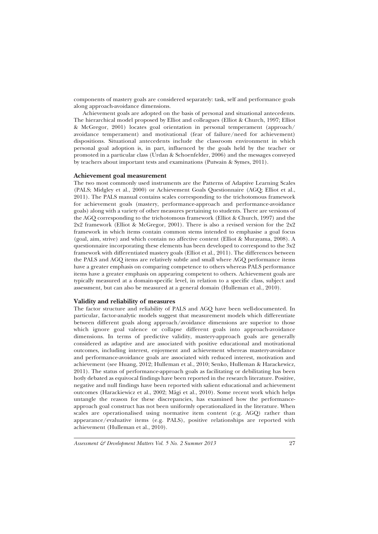components of mastery goals are considered separately: task, self and performance goals along approach-avoidance dimensions.

Achievement goals are adopted on the basis of personal and situational antecedents. The hierarchical model proposed by Elliot and colleagues (Elliot & Church, 1997; Elliot & McGregor, 2001) locates goal orientation in personal temperament (approach/ avoidance temperament) and motivational (fear of failure/need for achievement) dispositions. Situational antecedents include the classroom environment in which personal goal adoption is, in part, influenced by the goals held by the teacher or promoted in a particular class (Urdan & Schoenfelder, 2006) and the messages conveyed by teachers about important tests and examinations (Putwain & Symes, 2011).

## **Achievement goal measurement**

The two most commonly used instruments are the Patterns of Adaptive Learning Scales (PALS; Midgley et al., 2000) or Achievement Goals Questionnaire (AGQ; Elliot et al., 2011). The PALS manual contains scales corresponding to the trichotomous framework for achievement goals (mastery, performance-approach and performance-avoidance goals) along with a variety of other measures pertaining to students. There are versions of the AGQ corresponding to the trichotomous framework (Elliot & Church, 1997) and the 2x2 framework (Elliot & McGregor, 2001). There is also a revised version for the 2x2 framework in which items contain common stems intended to emphasise a goal focus (goal, aim, strive) and which contain no affective content (Elliot & Murayama, 2008). A questionnaire incorporating these elements has been developed to correspond to the 3x2 framework with differentiated mastery goals (Elliot et al., 2011). The differences between the PALS and AGQ items are relatively subtle and small where AGQ performance items have a greater emphasis on comparing competence to others whereas PALS performance items have a greater emphasis on appearing competent to others. Achievement goals are typically measured at a domain-specific level, in relation to a specific class, subject and assessment, but can also be measured at a general domain (Hulleman et al., 2010).

## **Validity and reliability of measures**

The factor structure and reliability of PALS and AGQ have been well-documented. In particular, factor-analytic models suggest that measurement models which differentiate between different goals along approach/avoidance dimensions are superior to those which ignore goal valence or collapse different goals into approach-avoidance dimensions. In terms of predictive validity, mastery-approach goals are generally considered as adaptive and are associated with positive educational and motivational outcomes, including interest, enjoyment and achievement whereas mastery-avoidance and performance-avoidance goals are associated with reduced interest, motivation and achievement (see Huang, 2012; Hulleman et al., 2010; Senko, Hulleman & Harackewicz, 2011). The status of performance-approach goals as facilitating or debilitating has been hotly debated as equivocal findings have been reported in the research literature. Positive, negative and null findings have been reported with salient educational and achievement outcomes (Harackiewicz et al., 2002; Mägi et al., 2010). Some recent work which helps untangle the reason for these discrepancies, has examined how the performanceapproach goal construct has not been uniformly operationalized in the literature. When scales are operationalised using normative item content (e.g. AGQ) rather than appearance/evaluative items (e.g. PALS), positive relationships are reported with achievement (Hulleman et al., 2010).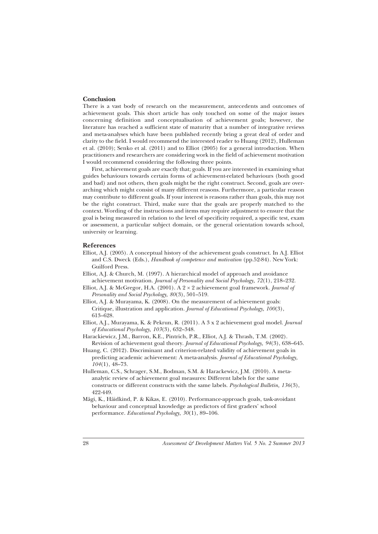#### **Conclusion**

There is a vast body of research on the measurement, antecedents and outcomes of achievement goals. This short article has only touched on some of the major issues concerning definition and conceptualisation of achievement goals; however, the literature has reached a sufficient state of maturity that a number of integrative reviews and meta-analyses which have been published recently bring a great deal of order and clarity to the field. I would recommend the interested reader to Huang (2012), Hulleman et al. (2010); Senko et al. (2011) and to Elliot (2005) for a general introduction. When practitioners and researchers are considering work in the field of achievement motivation I would recommend considering the following three points.

First, achievement goals are exactly that; goals. If you are interested in examining what guides behaviours towards certain forms of achievement-related behaviours (both good and bad) and not others, then goals might be the right construct. Second, goals are overarching which might consist of many different reasons. Furthermore, a particular reason may contribute to different goals. If your interest is reasons rather than goals, this may not be the right construct. Third, make sure that the goals are properly matched to the context. Wording of the instructions and items may require adjustment to ensure that the goal is being measured in relation to the level of specificity required, a specific test, exam or assessment, a particular subject domain, or the general orientation towards school, university or learning.

#### **References**

- Elliot, A.J. (2005). A conceptual history of the achievement goals construct. In A.J. Elliot and C.S. Dweck (Eds.), *Handbook of competence and motivation* (pp.52-84). New York: Guilford Press.
- Elliot, A.J. & Church, M. (1997). A hierarchical model of approach and avoidance achievement motivation. *Journal of Personality and Social Psychology, 72*(1), 218–232.
- Elliot, A.J. & McGregor, H.A. (2001). A 2 × 2 achievement goal framework. *Journal of Personality and Social Psychology, 80*(3), 501–519.
- Elliot, A.J. & Murayama, K. (2008). On the measurement of achievement goals: Critique, illustration and application. *Journal of Educational Psychology, 100*(3), 613–628.
- Elliot, A.J., Murayama, K. & Pekrun, R. (2011). A 3 x 2 achievement goal model. *Journal of Educational Psychology, 103*(3), 632–348.
- Harackiewicz, J.M., Barron, K.E., Pintrich, P.R., Elliot, A.J. & Thrash, T.M. (2002). Revision of achievement goal theory. *Journal of Educational Psychology, 94*(3), 638–645.
- Huang, C. (2012). Discriminant and criterion-related validity of achievement goals in predicting academic achievement: A meta-analysis. *Journal of Educational Psychology, 104*(1), 48–73.
- Hulleman, C.S., Schrager, S.M., Bodman, S.M. & Harackewicz, J.M. (2010). A metaanalytic review of achievement goal measures: Different labels for the same constructs or different constructs with the same labels. *Psychological Bulletin, 136*(3), 422-449.
- Mägi, K., Häidkind, P. & Kikas, E. (2010). Performance-approach goals, task-avoidant behaviour and conceptual knowledge as predictors of first graders' school performance. *Educational Psychology, 30*(1), 89–106.